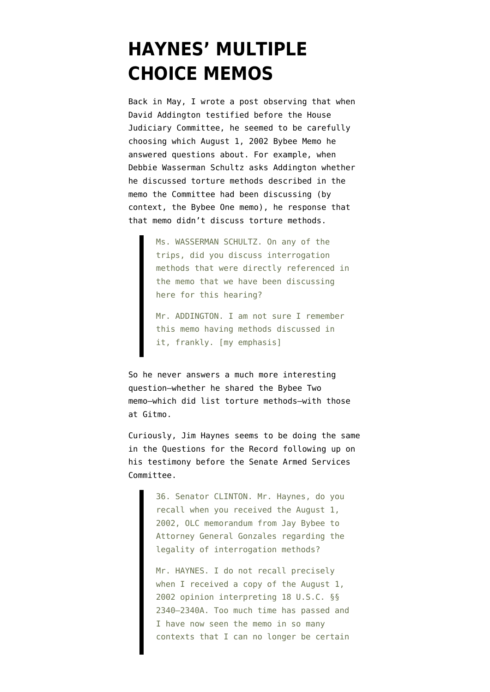## **[HAYNES' MULTIPLE](https://www.emptywheel.net/2009/09/14/haynes-multiple-choice-memos/) [CHOICE MEMOS](https://www.emptywheel.net/2009/09/14/haynes-multiple-choice-memos/)**

Back in May, I [wrote](http://emptywheel.firedoglake.com/2009/05/02/addingtons-multiple-choice-torture-memos/) a post observing that when David Addington [testified](http://judiciary.house.gov/hearings/printers/110th/43152.PDF) before the House Judiciary Committee, he seemed to be carefully choosing which August 1, 2002 Bybee Memo he answered questions about. For example, when Debbie Wasserman Schultz asks Addington whether he discussed torture methods described in the memo the Committee had been discussing (by context, the Bybee One memo), he response that that memo didn't discuss torture methods.

> Ms. WASSERMAN SCHULTZ. On any of the trips, did you discuss interrogation methods that were directly referenced in the memo that we have been discussing here for this hearing?

Mr. ADDINGTON. I am not sure I remember this memo having methods discussed in it, frankly. [my emphasis]

So he never answers a much more interesting question–whether he shared the Bybee Two memo–which did list torture methods–with those at Gitmo.

Curiously, Jim Haynes seems to be doing the same in the [Questions for the Record](http://www.fas.org/irp/congress/2008_hr/treatment.pdf) following up on his testimony before the Senate Armed Services Committee.

> 36. Senator CLINTON. Mr. Haynes, do you recall when you received the August 1, 2002, OLC memorandum from Jay Bybee to Attorney General Gonzales regarding the legality of interrogation methods?

Mr. HAYNES. I do not recall precisely when I received a copy of the August 1, 2002 opinion interpreting 18 U.S.C. §§ 2340–2340A. Too much time has passed and I have now seen the memo in so many contexts that I can no longer be certain